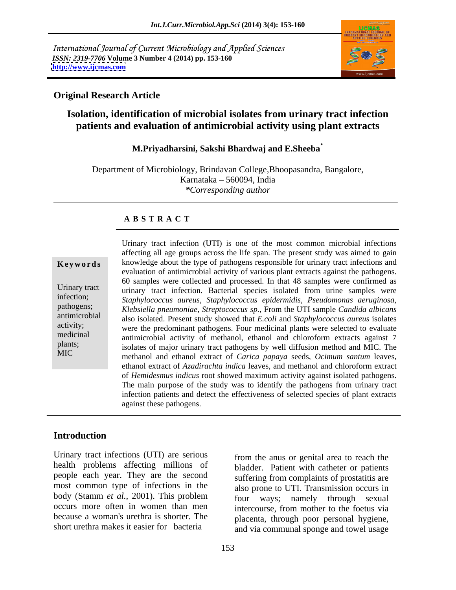International Journal of Current Microbiology and Applied Sciences *ISSN: 2319-7706* **Volume 3 Number 4 (2014) pp. 153-160 <http://www.ijcmas.com>**



# **Original Research Article**

# **Isolation, identification of microbial isolates from urinary tract infection patients and evaluation of antimicrobial activity using plant extracts**

# **M.Priyadharsini, Sakshi Bhardwaj and E.Sheeba**

Department of Microbiology, Brindavan College,Bhoopasandra, Bangalore, Karnataka 560094, India *\*Corresponding author* 

### **A B S T R A C T**

**Keywords** knowledge about the type of pathogens responsible for urinary tract infections and Urinary tract urinary tract infection. Bacterial species isolated from urine samples were infection; *Staphylococcus aureus, Staphylococcus epidermidis, Pseudomonas aeruginosa,* pathogens; *Klebsiella pneumoniae, Streptococcus sp.,* From the UTI sample *Candida albicans* antimicrobial also isolated. Present study showed that *E.coli* and *Staphylococcus aureus* isolates activity;<br>
were the predominant pathogens. Four medicinal plants were selected to evaluate medicinal antimicrobial activity of methanol, ethanol and chloroform extracts against 7 plants;<br>
isolates of major urinary tract pathogens by well diffusion method and MIC. The MIC methanol and ethanol extract of *Carica papaya* seeds, *Ocimum santum* leaves, Urinary tract infection (UTI) is one of the most common microbial infections affecting all age groups across the life span. The present study was aimed to gain evaluation of antimicrobial activity of various plant extracts against the pathogens. 60 samples were collected and processed. In that 48 samples were confirmed as ethanol extract of *Azadirachta indica* leaves, and methanol and chloroform extract of *Hemidesmus indicus* root showed maximum activity against isolated pathogens. The main purpose of the study was to identify the pathogens from urinary tract infection patients and detect the effectiveness of selected species of plant extracts against these pathogens.

# **Introduction**

Urinary tract infections (UTI) are serious health problems affecting millions of people each year. They are the second most common type of infections in the body (Stamm *et al.*, 2001). This problem

occurs more often in women than men intercourse, from mother to the foetus via because a woman's urethra is shorter. The placenta, through poor personal hygiene, short urethra makes it easier for bacteria and via communal sponge and towel usage from the anus or genital area to reach the bladder. Patient with catheter or patients suffering from complaints of prostatitis are also prone to UTI. Transmission occurs in four ways; namely through sexual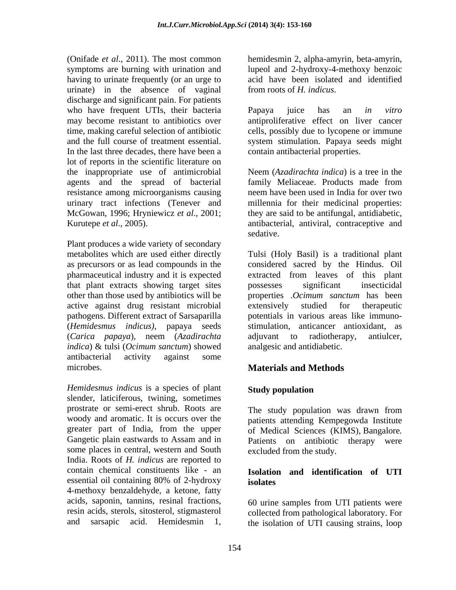(Onifade *et al*., 2011). The most common symptoms are burning with urination and lupeol and 2-hydroxy-4-methoxy benzoic having to urinate frequently (or an urge to urinate) in the absence of vaginal from roots of  $H$ , indicus. discharge and significant pain. For patients who have frequent UTIs, their bacteria Papaya juice has an *in vitro* may become resistant to antibiotics over antiproliferative effect on liver cancer time, making careful selection of antibiotic cells, possibly due to lycopene or immune and the full course of treatment essential. system stimulation. Papaya seeds might In the last three decades, there have been a lot of reports in the scientific literature on the inappropriate use of antimicrobial agents and the spread of bacterial resistance among microorganisms causing urinary tract infections (Tenever and millennia for their medicinal properties: McGowan, 1996; Hryniewicz *et al*., 2001; Kurutepe *et al.*, 2005). The antibacterial, antiviral, contraceptive and antibacterial.

Plant produces a wide variety of secondary that plant extracts showing target sites active against drug resistant microbial *indica*) & tulsi (*Ocimum sanctum*) showed antibacterial activity against some microbes. **Materials and Methods** 

*Hemidesmus indicus* is a species of plant slender, laticiferous, twining, sometimes prostrate or semi-erect shrub. Roots are The study population was drawn from some places in central, western and South India. Roots of *H. indicus* are reported to contain chemical constituents like - an **Isolation and identification of UTI** essential oil containing 80% of 2-hydroxy isolates 4-methoxy benzaldehyde, a ketone, fatty acids, saponin, tannins, resinal fractions, 60 urine samples from UTI patients were resin acids, sterols, sitosterol, stigmasterol collected from pathological laboratory. For

hemidesmin 2, alpha-amyrin, beta-amyrin, acid have been isolated and identified

from roots of *H. indicus*. Papaya juice has an *in vitro* contain antibacterial properties.

Neem (*Azadirachta indica*) is a tree in the family Meliaceae. Products made from neem have been used in India for over two they are said to be antifungal, antidiabetic, antibacterial, antiviral, contraceptive and sedative.

metabolites which are used either directly Tulsi (Holy Basil) is a traditional plant as precursors or as lead compounds in the considered sacred by the Hindus. Oil pharmaceutical industry and it is expected by extracted from leaves of this plant other than those used by antibiotics will be properties .*Ocimum sanctum* has been pathogens. Different extract of Sarsaparilla potentials in various areas like immuno- (*Hemidesmus indicus)*, papaya seeds stimulation, anticancer antioxidant, as (*Carica papaya*), neem (*Azadirachta*  possesses significant insecticidal extensively studied for therapeutic adjuvant to radiotherapy, antiulcer, analgesic and antidiabetic.

# **Materials and Methods**

# **Study population**

woody and aromatic. It is occurs over the patients attending Kempegowda Institute greater part of India, from the upper of Medical Sciences (KIMS), Bangalore*.* Gangetic plain eastwards to Assam and in Patients on antibiotic therapy were The study population was drawn from excluded from the study.

# **isolates**

and sarsapic acid. Hemidesmin 1, the isolation of UTI causing strains, loop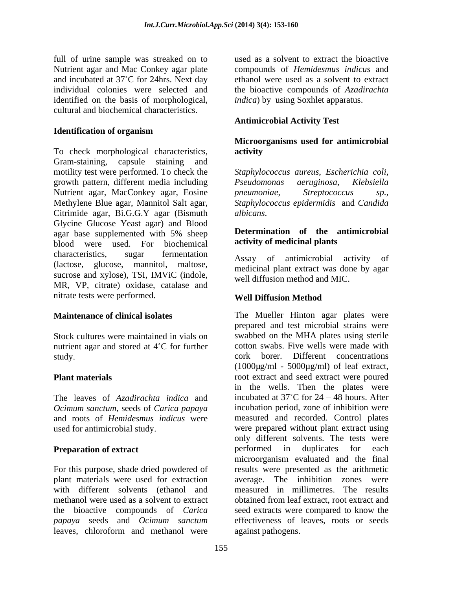full of urine sample was streaked on to Nutrient agar and Mac Conkey agar plate and incubated at 37°C for 24hrs. Next day identified on the basis of morphological, cultural and biochemical characteristics.

# **Identification of organism**

To check morphological characteristics, activity Gram-staining, capsule staining and motility test were performed. To check the *Staphylococcus aureus*, *Escherichia coli*, growth pattern, different media including Pseudomonas aeruginosa, Klebsiella Nutrient agar, MacConkey agar, Eosine *pneumoniae*, *Streptococcus sp.*, Methylene Blue agar, Mannitol Salt agar, Staphylococcus epidermidis and Candida Citrimide agar, Bi.G.G.Y agar (Bismuth Glycine Glucose Yeast agar) and Blood agar base supplemented with 5% sheep **Determination of the antimicrobial** blood were used. For biochemical characteristics, sugar fermentation Assay of antimicrobial activity of enaracteristics, sugar refinemation<br>(lactose, glucose, mannitol, maltose, magdicinal plant article time dans by agent sucrose and xylose), TSI, IMViC (indole, MR, VP, citrate) oxidase, catalase and nitrate tests were performed. Well Diffusion Method

nutrient agar and stored at  $4^{\circ}$ C for further

The leaves of *Azadirachta indica* and

the bioactive compounds of *Carica*  leaves, chloroform and methanol were against pathogens.

individual colonies were selected and the bioactive compounds of *Azadirachta*  used as a solvent to extract the bioactive compounds of *Hemidesmus indicus* and ethanol were used as a solvent to extract *indica*) by using Soxhlet apparatus.

# **Antimicrobial Activity Test**

# **Microorganisms used for antimicrobial activity**

*Pseudomonas aeruginosa*, *Klebsiella pneumoniae*, *Streptococcus sp., Staphylococcus epidermidis* and *Candida albicans*.

### **Determination of the antimicrobial activity of medicinal plants**

Assay of antimicrobial activity medicinal plant extract was done by agar well diffusion method and MIC.

# **Well Diffusion Method**

**Maintenance of clinical isolates** The Mueller Hinton agar plates were Stock cultures were maintained in vials on swabbed on the MHA plates using sterile study. cork borer. Different concentrations **Plant materials** root extract and seed extract were poured *Ocimum sanctum*, seeds of *Carica papaya* and incubation period, zone of inhibition were and roots of *Hemidesmus indicus* were measured and recorded. Control plates used for antimicrobial study. were prepared without plant extract using **Preparation of extract performed** in duplicates for each For this purpose, shade dried powdered of results were presented as the arithmetic plant materials were used for extraction average. The inhibition zones were with different solvents (ethanol and measured in millimetres. The results methanol were used as a solvent to extract obtained from leaf extract, root extract and *papaya* seeds and *Ocimum sanctum* effectiveness of leaves, roots or seeds prepared and test microbial strains were cotton swabs. Five wells were made with  $(1000\mu\text{g/ml} - 5000\mu\text{g/ml})$  of leaf extract, in the wells. Then the plates were incubated at  $37^{\circ}$ C for  $24 - 48$  hours. After incubation period, zone of inhibition were measured and recorded. Control plates only different solvents. The tests were microorganism evaluated and the final seed extracts were compared to know the against pathogens.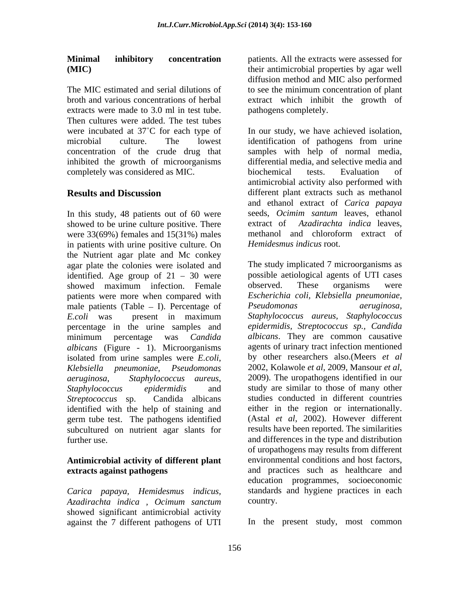The MIC estimated and serial dilutions of to see the minimum concentration of plant broth and various concentrations of herbal extract which inhibit the growth of extracts were made to 3.0 ml in test tube. Then cultures were added. The test tubes inhibited the growth of microorganisms completely was considered as MIC.

In this study, 48 patients out of 60 were showed to be urine culture positive. There extract of Azadirachta indical eaves,<br>were 33(69%) females and 15(31%) males methanol and chloroform extract of were 33(69%) females and 15(31%) males in patients with urine positive culture. On the Nutrient agar plate and Mc conkey agar plate the colonies were isolated and identified. Age group of  $21 - 30$  were possible aetiological agents of U'<br>showed maximum infection. Female observed. These organisms patients were more when compared with male patients (Table - I). Percentage of Pseudomonas aeruginosa, percentage in the urine samples and *albicans* (Figure - 1). Microorganisms isolated from urine samples were *E.coli*, by other researchers also.(Meers *et al*<br>Klebsiella preumoniae. Pseudomonas 2002, Kolawole *et al*, 2009, Mansour *et al*, *Klebsiella pneumoniae*, *Pseudomonas aeruginosa*, *Staphylococcus aureus*, identified with the help of staining and germ tube test. The pathogens identified subcultured on nutrient agar slants for

# **Antimicrobial activity of different plant**

*Carica papaya, Hemidesmus indicus, Azadirachta indica , Ocimum sanctum* showed significant antimicrobial activity against the 7 different pathogens of UTI

**Minimal inhibitory concentration** patients. All the extracts were assessed for **(MIC)** their antimicrobial properties by agar well diffusion method and MIC also performed pathogens completely.

were incubated at 37<sup>°</sup>C for each type of In our study, we have achieved isolation, microbial culture. The lowest identification of pathogens from urine concentration of the crude drug that samples with help of normal media, **Results and Discussion** different plant extracts such as methanol differential media, and selective media and biochemical tests. Evaluation of antimicrobial activity also performed with and ethanol extract of *Carica papaya* seeds, *Ocimim santum* leaves, ethanol extract of *Azadirachta indica* leaves, methanol and chloroform extract of *Hemidesmus indicus* root.

showed maximum infection. Female observed. These organisms were *E.coli* was present in maximum minimum percentage was *Candida Staphylococcus epidermidis* and study are similar to those of many other *Streptococcus* sp. Candida albicans studies conducted in different countries further use. and differences in the type and distribution **extracts against pathogens** and practices such as healthcare and The study implicated 7 microorganisms as possible aetiological agents of UTI cases observed. These organisms were *Escherichia coli, Klebsiella pneumoniae, Pseudomonas aeruginosa, Staphylococcus aureus, Staphylococcus epidermidis, Streptococcus sp., Candida albicans*. They are common causative agents of urinary tract infection mentioned by other researchers also.(Meers *et al* 2002, Kolawole *et al,* 2009, Mansour *et al*, 2009). The uropathogens identified in our either in the region or internationally. (Astal *et al*, 2002). However different results have been reported. The similarities of uropathogens may results from different environmental conditions and host factors, education programmes, socioeconomic standards and hygiene practices in each country.

In the present study, most common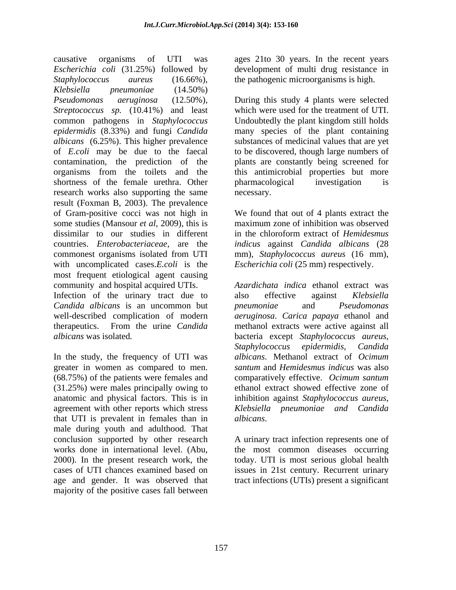causative organisms of UTI was ages 21to 30 years. In the recent years *Escherichia coli* (31.25%) followed by development of multi drug resistance in *Staphylococcus aureus* (16.66%), the pathogenic microorganisms is high. *Klebsiella pneumoniae* (14.50%) *Pseudomonas aeruginosa* (12.50%), During this study 4 plants were selected *Streptococcus sp.* (10.41%) and least common pathogens in *Staphylococcus*  Undoubtedly the plant kingdom still holds *epidermidis* (8.33%) and fungi *Candida*  many species of the plant containing *albicans* (6.25%). This higher prevalence substances of medicinal values that are yet of *E.coli* may be due to the faecal to be discovered, though large numbers of contamination, the prediction of the plants are constantly being screened for organisms from the toilets and the this antimicrobial properties but more shortness of the female urethra. Other pharmacological investigation is research works also supporting the same mecessary. result (Foxman B, 2003). The prevalence of Gram-positive cocci was not high in We found that out of 4 plants extract the some studies (Mansour *et al*, 2009), this is maximum zone of inhibition was observed dissimilar to our studies in different in the chloroform extract of *Hemidesmus* countries. *Enterobacteriaceae,* are the *indicus* against *Candida albicans* (28 commonest organisms isolated from UTI mm), *Staphylococcus aureus* (16 mm), with uncomplicated cases.*E.coli* is the most frequent etiological agent causing community and hospital acquired UTIs.

*Candida albicans* is an uncommon but

In the study, the frequency of UTI was greater in women as compared to men. (68.75%) of the patients were females and comparatively effective. *Ocimum santum* (31.25%) were males principally owing to ethanol extract showed effective zone of anatomic and physical factors. This is in inhibition against *Staphylococcus aureus*, agreement with other reports which stress *Klebsiella pneumoniae and Candida* that UTI is prevalent in females than in male during youth and adulthood. That conclusion supported by other research A urinary tract infection represents one of works done in international level. (Abu, the most common diseases occurring 2000). In the present research work, the today. UTI is most serious global health cases of UTI chances examined based on issues in 21st century. Recurrent urinary age and gender. It was observed that tract infections (UTIs) present a significant majority of the positive cases fall between

which were used for the treatment of UTI. pharmacological investigation is necessary.

maximum zone of inhibition was observed in the chloroform extract of *Hemidesmus Escherichia coli* (25 mm) respectively.

Infection of the urinary tract due to also effective against Klebsiella well-described complication of modern *aeruginosa*. *Carica papaya* ethanol and therapeutics. From the urine *Candida*  methanol extracts were active against all *albicans* was isolated*.* bacteria except *Staphylococcus aureus, Azardichata indica* ethanol extract was also effective against *Klebsiella pneumoniae* and *Pseudomonas Staphylococcus epidermidis, Candida albicans*. Methanol extract of *Ocimum santum* and *Hemidesmus indicus* was also

*albicans*. A urinary tract infection represents one of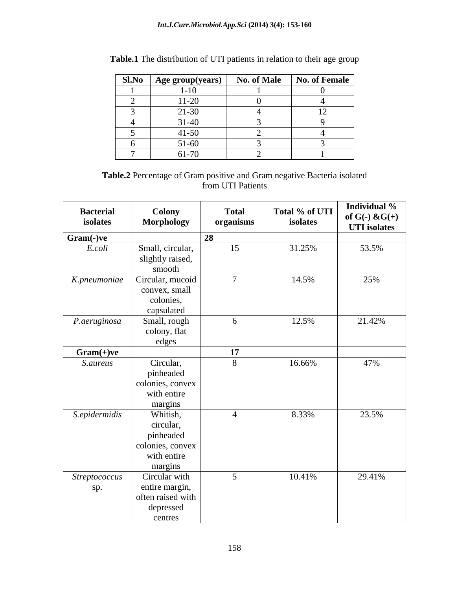| <b>Sl.No</b> | Age group(years)       | No. of Male | No. of Female |
|--------------|------------------------|-------------|---------------|
|              | -10                    |             |               |
|              | $11-20$                |             |               |
|              | $21 - 30$              |             |               |
|              | 21.40<br>$1 - 4$<br>ັ້ |             |               |
|              | $41 - 50$              |             |               |
|              | 51-60                  |             |               |
|              | 61-70                  |             |               |

| <b>Table.1</b> The distribution of UTI patients in relation to their age group |  |
|--------------------------------------------------------------------------------|--|
|                                                                                |  |

**Table.2** Percentage of Gram positive and Gram negative Bacteria isolated from UTI Patients

| <b>Bacterial</b><br>isolates | Colony<br>Morphology            | <b>Total</b><br>organisms | Total $%$ of UTI<br>isolates | Individual %<br>of $G(-)$ & $G(+)$<br><b>UTI</b> isolates |
|------------------------------|---------------------------------|---------------------------|------------------------------|-----------------------------------------------------------|
| Gram(-)ve                    |                                 | 28                        |                              |                                                           |
| E.coli                       | Small, circular,                | 15                        | 31.25%                       | 53.5%                                                     |
|                              | slightly raised,                |                           |                              |                                                           |
|                              | smooth                          |                           |                              |                                                           |
| K.pneumoniae                 | Circular, mucoid                |                           | 14.5%                        | 25%                                                       |
|                              | convex, small<br>colonies,      |                           |                              |                                                           |
|                              | capsulated                      |                           |                              |                                                           |
| P.aeruginosa                 | Small, rough                    | 6                         | 12.5%                        | 21.42%                                                    |
|                              | colony, flat                    |                           |                              |                                                           |
|                              | edges                           |                           |                              |                                                           |
| $Gram(+)ve$                  |                                 | 17                        |                              |                                                           |
| S.aureus                     | Circular,<br>pinheaded          | 8                         | 16.66%                       | 47%                                                       |
|                              | colonies, convex                |                           |                              |                                                           |
|                              | with entire                     |                           |                              |                                                           |
|                              | margins                         |                           |                              |                                                           |
| S.epidermidis                | Whitish,                        | $\overline{4}$            | 8.33%                        | 23.5%                                                     |
|                              | circular,                       |                           |                              |                                                           |
|                              | pinheaded                       |                           |                              |                                                           |
|                              | colonies, convex<br>with entire |                           |                              |                                                           |
|                              | margins                         |                           |                              |                                                           |
| <b>Streptococcus</b>         | Circular with                   | $\sim$ 5                  | 10.41%                       | 29.41%                                                    |
| sp.                          | entire margin,                  |                           |                              |                                                           |
|                              | often raised with               |                           |                              |                                                           |
|                              | depressed                       |                           |                              |                                                           |
|                              | centres                         |                           |                              |                                                           |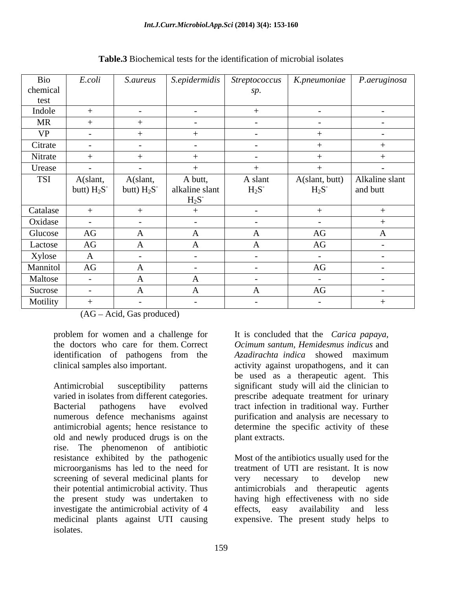| Bio        | E.coli         |                |                |                      | S. aureus S. epidermidis Streptococcus K. pneumoniae P. aeruginosa |                    |
|------------|----------------|----------------|----------------|----------------------|--------------------------------------------------------------------|--------------------|
| chemical   |                |                |                | sp.                  |                                                                    |                    |
| test       |                |                |                |                      |                                                                    |                    |
| Indole     |                |                |                |                      | $\sim$                                                             | $\sim$             |
| MR         |                |                | $\sim$ $-$     | $\sim$ $\sim$        | $\sim$ $-$                                                         | $\sim$ $ -$        |
| <b>VP</b>  | $\sim$         |                |                | $\sim$ $\sim$        |                                                                    | $\sim$             |
| Citrate    |                |                |                | $\sim$               |                                                                    |                    |
| Nitrate    | $^{+}$         |                |                | $\sim$ $\sim$ $\sim$ |                                                                    |                    |
| Urease     | $\sim$         |                |                |                      |                                                                    |                    |
| <b>TSI</b> | A(slant,       | A(slant,       | A butt,        | A slant              | A(slant, butt) Alkaline slant                                      |                    |
|            | butt) $H_2S^-$ | butt) $H_2S^-$ | alkaline slant | $H_2S^-$             | $H_2S^-$                                                           | and butt           |
|            |                |                | $H_2S^-$       |                      |                                                                    |                    |
| Catalase   |                |                |                | $\sim$ $\sim$        |                                                                    |                    |
| Oxidase    | $\sim$         | $\sim$ $-$     |                | $\sim$ $\sim$        | $\sim$                                                             |                    |
| Glucose    | AG             | $\mathbf{A}$   |                |                      | AG                                                                 | $\mathbf{A}$       |
| Lactose    | AG             | $\mathbf{A}$   |                |                      | AG                                                                 | $\sim$             |
| Xylose     | $\mathbf{A}$   | $\sim$ $ -$    | $\sim$ $-$     | $\sim$ $  -$         | $\sim$ $-$                                                         | $\sim$ $ \sim$ $-$ |
| Mannitol   | AG             | $\Lambda$      | $\sim$         | $\sim$ $\sim$ $\sim$ | AG                                                                 | $\sim$ $ -$        |
| Maltose    | $\sim$         | $\mathbf{A}$   |                | $\sim$ $\sim$        | $\sim$ $-$                                                         | $\sim$ $-$         |
| Sucrose    | $\sim$ $-$     | $\mathbf{A}$   |                | $\mathbf{L}$         | AG                                                                 | $\sim$ $-$         |
| Motility   |                |                |                | $\sim$               | $\sim$                                                             |                    |

# **Table.3** Biochemical tests for the identification of microbial isolates

 $(AG - Acid, Gas produced)$ 

problem for women and a challenge for the doctors who care for them. Correct *Ocimum santum, Hemidesmus indicus* and identification of pathogens from the Azadirachta indica showed maximum

Antimicrobial susceptibility patterns significant study will aid the clinician to varied in isolates from different categories. prescribe adequate treatment for urinary Bacterial pathogens have evolved tract infection in traditional way. Further numerous defence mechanisms against purification and analysis are necessary to antimicrobial agents; hence resistance to determine the specific activity of these old and newly produced drugs is on the rise. The phenomenon of antibiotic resistance exhibited by the pathogenic screening of several medicinal plants for very necessary to develop new their potential antimicrobial activity. Thus antimicrobials and therapeutic agents the present study was undertaken to having high effectiveness with no side investigate the antimicrobial activity of 4 effects, easy availability and less medicinal plants against UTI causing expensive. The present study helps toisolates.

clinical samples also important. activity against uropathogens, and it can It is concluded that the *Carica papaya, Ocimum santum, Hemidesmus indicus* and *Azadirachta indica* showed maximum be used as a therapeutic agent. This plant extracts.

> treatment of UTI are resistant. It is now Most of the antibiotics usually used for the treatment of UTI are resistant. It is now very necessary to develop new